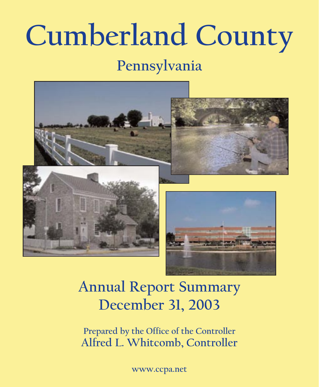# **Cumberland County**

# **Pennsylvania**



# **Annual Report Summary December 31, 2003**

**Prepared by the Office of the Controller Alfred L. Whitcomb, Controller**

**www.ccpa.net**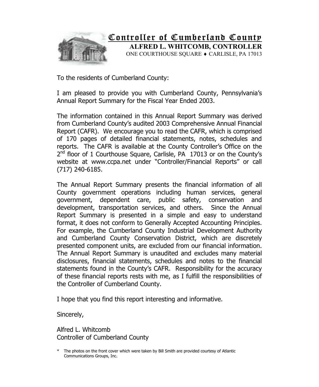

To the residents of Cumberland County:

I am pleased to provide you with Cumberland County, Pennsylvania's Annual Report Summary for the Fiscal Year Ended 2003.

The information contained in this Annual Report Summary was derived from Cumberland County's audited 2003 Comprehensive Annual Financial Report (CAFR). We encourage you to read the CAFR, which is comprised of 170 pages of detailed financial statements, notes, schedules and reports. The CAFR is available at the County Controller's Office on the  $2^{nd}$  floor of 1 Courthouse Square, Carlisle, PA 17013 or on the County's website at www.ccpa.net under "Controller/Financial Reports" or call (717) 240-6185.

The Annual Report Summary presents the financial information of all County government operations including human services, general government, dependent care, public safety, conservation and development, transportation services, and others. Since the Annual Report Summary is presented in a simple and easy to understand format, it does not conform to Generally Accepted Accounting Principles. For example, the Cumberland County Industrial Development Authority and Cumberland County Conservation District, which are discretely presented component units, are excluded from our financial information. The Annual Report Summary is unaudited and excludes many material disclosures, financial statements, schedules and notes to the financial statements found in the County's CAFR. Responsibility for the accuracy of these financial reports rests with me, as I fulfill the responsibilities of the Controller of Cumberland County.

I hope that you find this report interesting and informative.

Sincerely,

Alfred L. Whitcomb Controller of Cumberland County

The photos on the front cover which were taken by Bill Smith are provided courtesy of Atlantic Communications Groups, Inc.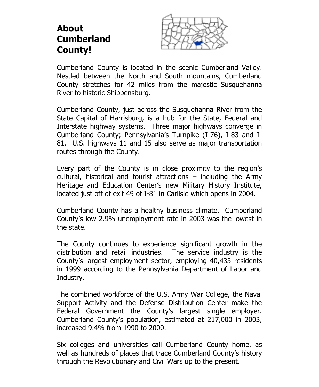#### **About Cumberland County!**



Cumberland County is located in the scenic Cumberland Valley. Nestled between the North and South mountains, Cumberland County stretches for 42 miles from the majestic Susquehanna River to historic Shippensburg.

Cumberland County, just across the Susquehanna River from the State Capital of Harrisburg, is a hub for the State, Federal and Interstate highway systems. Three major highways converge in Cumberland County; Pennsylvania's Turnpike (I-76), I-83 and I-81. U.S. highways 11 and 15 also serve as major transportation routes through the County.

Every part of the County is in close proximity to the region's cultural, historical and tourist attractions – including the Army Heritage and Education Center's new Military History Institute, located just off of exit 49 of I-81 in Carlisle which opens in 2004.

Cumberland County has a healthy business climate. Cumberland County's low 2.9% unemployment rate in 2003 was the lowest in the state.

The County continues to experience significant growth in the distribution and retail industries. The service industry is the County's largest employment sector, employing 40,433 residents in 1999 according to the Pennsylvania Department of Labor and Industry.

The combined workforce of the U.S. Army War College, the Naval Support Activity and the Defense Distribution Center make the Federal Government the County's largest single employer. Cumberland County's population, estimated at 217,000 in 2003, increased 9.4% from 1990 to 2000.

Six colleges and universities call Cumberland County home, as well as hundreds of places that trace Cumberland County's history through the Revolutionary and Civil Wars up to the present.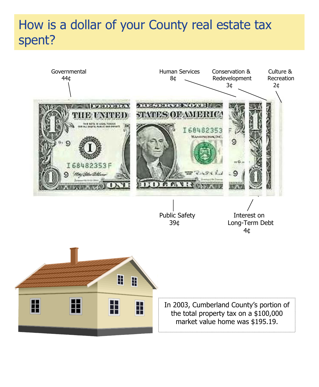#### How is a dollar of your County real estate tax pent: How is a dollar of your County real estate tax spent?

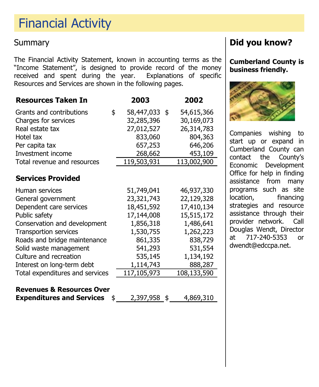# Financial Activity Financial Activity

#### **Summary**

The Financial Activity Statement, known in accounting terms as the "Income Statement", is designed to provide record of the money received and spent during the year. Explanations of specific Resources and Services are shown in the following pages.

| <b>Resources Taken In</b>       | 2003                | 2002        |
|---------------------------------|---------------------|-------------|
| Grants and contributions        | \$<br>58,447,033 \$ | 54,615,366  |
| Charges for services            | 32,285,396          | 30,169,073  |
| Real estate tax                 | 27,012,527          | 26,314,783  |
| Hotel tax                       | 833,060             | 804,363     |
| Per capita tax                  | 657,253             | 646,206     |
| Investment income               | 268,662             | 453,109     |
| Total revenue and resources     | 119,503,931         | 113,002,900 |
| <b>Services Provided</b>        |                     |             |
| Human services                  | 51,749,041          | 46,937,330  |
| General government              | 23,321,743          | 22,129,328  |
| Dependent care services         | 18,451,592          | 17,410,134  |
| Public safety                   | 17,144,008          | 15,515,172  |
| Conservation and development    | 1,856,318           | 1,486,641   |
| <b>Transportion services</b>    | 1,530,755           | 1,262,223   |
| Roads and bridge maintenance    | 861,335             | 838,729     |
| Solid waste management          | 541,293             | 531,554     |
| Culture and recreation          | 535,145             | 1,134,192   |
| Interest on long-term debt      | 1,114,743           | 888,287     |
| Total expenditures and services | 117,105,973         | 108,133,590 |

# **Revenues & Resources Over**

**Expenditures and Services**  $\frac{2}{397,958}$   $\frac{4}{869,310}$ 

### **Did you know?**

**Cumberland County is business friendly.** 



Companies wishing to start up or expand in Cumberland County can contact the County's Economic Development Office for help in finding assistance from many programs such as site location, financing strategies and resource assistance through their provider network. Call Douglas Wendt, Director at 717-240-5353 or dwendt@edccpa.net.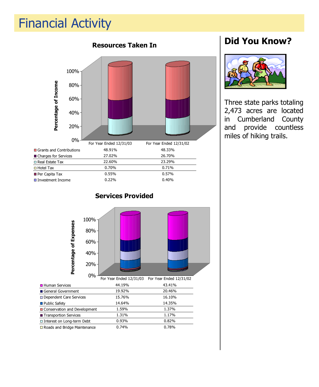#### Financial Activity Financial Activity



### **Did You Know?**



Three state parks totaling 2,473 acres are located in Cumberland County and provide countless miles of hiking trails.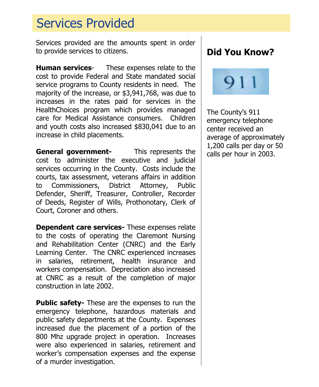# Services Provided Services Provided

Services provided are the amounts spent in order to provide services to citizens.

**Human services**- These expenses relate to the cost to provide Federal and State mandated social service programs to County residents in need. The majority of the increase, or \$3,941,768, was due to increases in the rates paid for services in the HealthChoices program which provides managed care for Medical Assistance consumers. Children and youth costs also increased \$830,041 due to an increase in child placements.

**General government-** This represents the cost to administer the executive and judicial services occurring in the County. Costs include the courts, tax assessment, veterans affairs in addition to Commissioners, District Attorney, Public Defender, Sheriff, Treasurer, Controller, Recorder of Deeds, Register of Wills, Prothonotary, Clerk of Court, Coroner and others.

**Dependent care services-** These expenses relate to the costs of operating the Claremont Nursing and Rehabilitation Center (CNRC) and the Early Learning Center. The CNRC experienced increases in salaries, retirement, health insurance and workers compensation. Depreciation also increased at CNRC as a result of the completion of major construction in late 2002.

**Public safety-** These are the expenses to run the emergency telephone, hazardous materials and public safety departments at the County. Expenses increased due the placement of a portion of the 800 Mhz upgrade project in operation. Increases were also experienced in salaries, retirement and worker's compensation expenses and the expense of a murder investigation.

## **Did You Know?**



The County's 911 emergency telephone center received an average of approximately 1,200 calls per day or 50 calls per hour in 2003.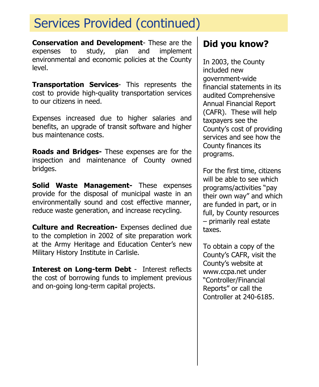# Services Provided (continued) Services Provided (continued)

**Conservation and Development**- These are the expenses to study, plan and implement environmental and economic policies at the County level.

**Transportation Services**- This represents the cost to provide high-quality transportation services to our citizens in need.

Expenses increased due to higher salaries and benefits, an upgrade of transit software and higher bus maintenance costs.

**Roads and Bridges-** These expenses are for the inspection and maintenance of County owned bridges.

**Solid Waste Management-** These expenses provide for the disposal of municipal waste in an environmentally sound and cost effective manner, reduce waste generation, and increase recycling.

**Culture and Recreation-** Expenses declined due to the completion in 2002 of site preparation work at the Army Heritage and Education Center's new Military History Institute in Carlisle.

**Interest on Long-term Debt** - Interest reflects the cost of borrowing funds to implement previous and on-going long-term capital projects.

# **Did you know?**

In 2003, the County included new government-wide financial statements in its audited Comprehensive Annual Financial Report (CAFR). These will help taxpayers see the County's cost of providing services and see how the County finances its programs.

For the first time, citizens will be able to see which programs/activities "pay their own way" and which are funded in part, or in full, by County resources – primarily real estate taxes.

To obtain a copy of the County's CAFR, visit the County's website at www.ccpa.net under "Controller/Financial Reports" or call the Controller at 240-6185.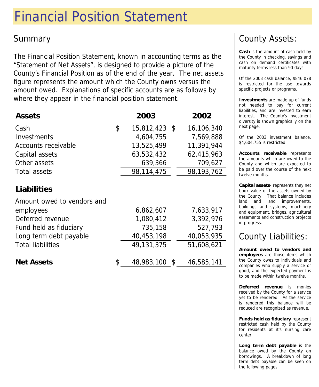# Financial Position Statement

## Summary

The Financial Position Statement, known in accounting terms as the "Statement of Net Assets", is designed to provide a picture of the County's Financial Position as of the end of the year. The net assets figure represents the amount which the County owns versus the amount owed. Explanations of specific accounts are as follows by where they appear in the financial position statement.

| <b>Assets</b>                                    | 2003                | 2002       |
|--------------------------------------------------|---------------------|------------|
| Cash                                             | \$<br>15,812,423 \$ | 16,106,340 |
| Investments                                      | 4,604,755           | 7,569,888  |
| Accounts receivable                              | 13,525,499          | 11,391,944 |
| Capital assets                                   | 63,532,432          | 62,415,963 |
| Other assets                                     | 639,366             | 709,627    |
| Total assets                                     | 98,114,475          | 98,193,762 |
| <b>Liabilities</b><br>Amount owed to vendors and |                     |            |
| employees                                        | 6,862,607           | 7,633,917  |
| Deferred revenue                                 | 1,080,412           | 3,392,976  |
| Fund held as fiduciary                           | 735,158             | 527,793    |
| Long term debt payable                           | 40,453,198          | 40,053,935 |
| <b>Total liabilities</b>                         | 49,131,375          | 51,608,621 |
|                                                  |                     |            |

**Net Assets**  $$ 48,983,100 $ 46,585,141$ 

# County Assets:

**Cash** is the amount of cash held by the County in checking, savings and cash on demand certificates with maturity terms less than 90 days.

Of the 2003 cash balance, \$846,078 is restricted for the use towards specific projects or programs.

**Investments** are made up of funds not needed to pay for current liabilities, and are invested to earn interest. The County's investment diversity is shown graphically on the next page.

Of the 2003 investment balance, \$4,604,755 is restricted.

**Accounts receivable** represents the amounts which are owed to the County and which are expected to be paid over the course of the next twelve months.

**Capital assets**- represents they net book value of the assets owned by the County. That balance includes land and land improvements, buildings and systems, machinery and equipment, bridges, agricultural easements and construction projects in progress.

# County Liabilities:

**Amount owed to vendors and employees** are those items which the County owes to individuals and companies who supply a service or good, and the expected payment is to be made within twelve months.

**Deferred revenue** is monies received by the County for a service yet to be rendered. As the service is rendered this balance will be reduced are recognized as revenue.

**Funds held as fiduciary** represent restricted cash held by the County for residents at it's nursing care center.

**Long term debt payable** is the balance owed by the County on borrowings. A breakdown of long term debt payable can be seen on the following pages.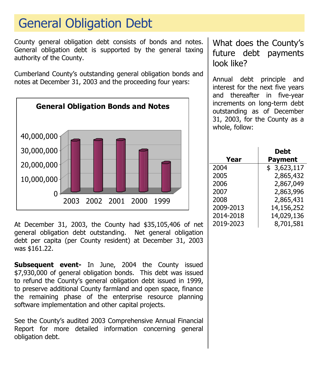# General Obligation Debt General Obligation Debt

County general obligation debt consists of bonds and notes. General obligation debt is supported by the general taxing authority of the County.

Cumberland County's outstanding general obligation bonds and notes at December 31, 2003 and the proceeding four years:



At December 31, 2003, the County had \$35,105,406 of net general obligation debt outstanding. Net general obligation debt per capita (per County resident) at December 31, 2003 was \$161.22.

**Subsequent event-** In June, 2004 the County issued \$7,930,000 of general obligation bonds. This debt was issued to refund the County's general obligation debt issued in 1999, to preserve additional County farmland and open space, finance the remaining phase of the enterprise resource planning software implementation and other capital projects.

See the County's audited 2003 Comprehensive Annual Financial Report for more detailed information concerning general obligation debt.

What does the County's future debt payments look like?

Annual debt principle and interest for the next five years and thereafter in five-year increments on long-term debt outstanding as of December 31, 2003, for the County as a whole, follow:

|           | Debt           |
|-----------|----------------|
| Year      | <b>Payment</b> |
| 2004      | \$3,623,117    |
| 2005      | 2,865,432      |
| 2006      | 2,867,049      |
| 2007      | 2,863,996      |
| 2008      | 2,865,431      |
| 2009-2013 | 14,156,252     |
| 2014-2018 | 14,029,136     |
| 2019-2023 | 8,701,581      |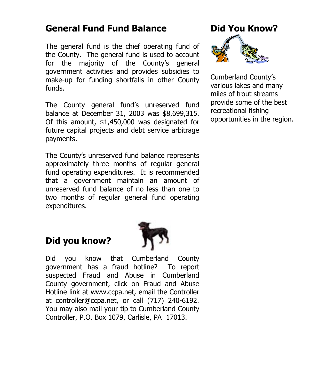#### **General Fund Fund Balance**

The general fund is the chief operating fund of the County. The general fund is used to account for the majority of the County's general government activities and provides subsidies to make-up for funding shortfalls in other County funds.

The County general fund's unreserved fund balance at December 31, 2003 was \$8,699,315. Of this amount, \$1,450,000 was designated for future capital projects and debt service arbitrage payments.

The County's unreserved fund balance represents approximately three months of regular general fund operating expenditures. It is recommended that a government maintain an amount of unreserved fund balance of no less than one to two months of regular general fund operating expenditures.

# **Did you know?**



Did you know that Cumberland County government has a fraud hotline? To report suspected Fraud and Abuse in Cumberland County government, click on Fraud and Abuse Hotline link at www.ccpa.net, email the Controller at controller@ccpa.net, or call (717) 240-6192. You may also mail your tip to Cumberland County Controller, P.O. Box 1079, Carlisle, PA 17013.

# **Did You Know?**



Cumberland County's various lakes and many miles of trout streams provide some of the best recreational fishing opportunities in the region.